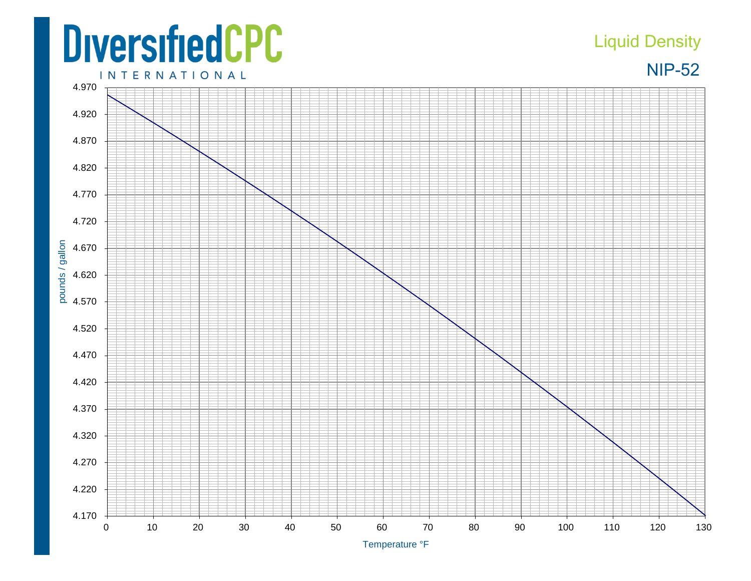## **DiversifiedCPC**

## Liquid Density



**INTERNATIONAL**